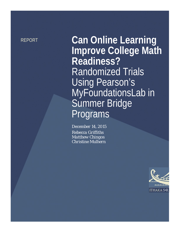**REPORT Can Online Learning Improve College Math Readiness?**<br>**Randomized Trials Using Pearson's** MyFoundationsLab in Summer Bridge<br>Programs

> *December 14, 2015 Rebecca Griffiths Matthew Chingos Christine Mulhern*

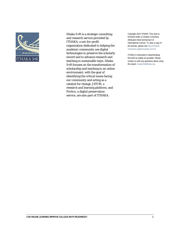

Ithaka S+R is a strategic consulting and research service provided by ITHAKA, a not-for-profit organization dedicated to helping the academic community use digital technologies to preserve the scholarly record and to advance research and teaching in sustainable ways. Ithaka S+R focuses on the transformation of scholarship and teaching in an online environment, with the goal of identifying the critical issues facing our community and acting as a catalyst for change. JSTOR, a research and learning platform, and Portico, a digital preservation service, are also part of ITHAKA.

Copyright 2015 ITHAKA. This work is licensed under a Creative Commons Attribution-NonCommercial 4.0 International License. To view a copy of the license, please see http://creativecommons.org/licenses/by-nc/4.0/.

ITHAKA is interested in disseminating this brief as widely as possible. Please contact us with any questions about using the report: research@ithaka.org.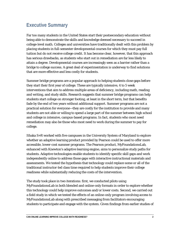# **Executive Summary**

Far too many students in the United States start their postsecondary education without being able to demonstrate the skills and knowledge deemed necessary to succeed in college-level math. Colleges and universities have traditionally dealt with this problem by placing students in full-semester developmental courses for which they must pay full tuition but do not receive college credit. It has become clear, however, that this approach has serious drawbacks, as students who start out in remediation are far less likely to attain a degree. Developmental courses are increasingly seen as a barrier rather than a bridge to college success. A great deal of experimentation is underway to find solutions that are more effective and less costly for students.

Summer bridge programs are a popular approach to helping students close gaps before they start their first year of college. These are typically intensive, 4 to 5 week interventions that aim to address multiple areas of deficiency, including math, reading and writing, and study skills. Research suggests that summer bridge programs can help students start college on stronger footing, at least in the short term, but that benefits fade by the end of two years without additional support. Summer programs are not a practical solution for everyone—they are costly for the institution to provide and many students are not able or willing to spend a large part of the summer between high school and college in intensive, campus-based programs. In fact, students who most need remediation may also be those who most need to work during the summer to pay for college.

Ithaka S+R worked with five campuses in the University System of Maryland to explore whether an adaptive learning product provided by Pearson could be used to offer more accessible, lower-cost summer programs. The Pearson product, MyFoundationsLab, enhanced with Knewton's adaptive learning engine, aims to personalize study paths for students. Adaptive technologies enable students to identify specific skill gaps and work independently online to address those gaps with interactive instructional materials and assessments. We tested the hypothesis that technology could replace some or all of the traditional instructor-led class time required to help students improve their college readiness while substantially reducing the costs of the intervention.

The study took place in two iterations: first, we conducted pilots using MyFoundationsLab in both blended and online-only formats in order to explore whether this technology could help improve outcomes and/or lower costs. Second, we carried out a field study in which we tested the effects of an online-only program involving access to MyFoundationsLab along with prescribed messaging from facilitators encouraging students to participate and engage with the system. Given findings from earlier studies of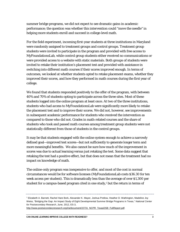summer bridge programs, we did not expect to see dramatic gains in academic performance; the question was whether this intervention could "move the needle" in helping more students enroll and succeed in college-level math.

For the field experiment, incoming first-year students at three institutions in Maryland were randomly assigned to treatment groups and control groups. Treatment group students were invited to participate in the program and provided with free access to MyFoundationsLab, while control group students either received no communications or were provided access to a website with static materials. Both groups of students were invited to retake their institution's placement test and provided with assistance in switching into different math courses if their scores improved enough. In terms of outcomes, we looked at whether students opted to retake placement exams, whether they improved their scores, and how they performed in math courses during the first year of college.

We found that students responded positively to the offer of the program, with between 40% and 70% of students opting to participate across the three sites. Most of these students logged into the online program at least once. At two of the three institutions, students who had access to MyFoundationsLab were significantly more likely to retake the placement test and to improve their scores. We did not, however, see improvements in subsequent academic performance for students who received the intervention as compared to those who did not. Grades in math-related courses and the share of students who took and passed math courses among treatment group students were not statistically different from those of students in the control groups.

It may be that students engaged with the online system enough to achieve a narrowly defined goal—improved test scores—but not sufficiently to generate longer term and more meaningful benefits. We also cannot be sure how much of the improvement in scores was due to actual learning versus just retaking the test. Some data suggest that retaking the test had a positive effect, but that does not mean that the treatment had no impact on knowledge of math.

The online-only program was inexpensive to offer, and most of the cost in normal circumstances would be for software licenses (MyFoundationsLab costs \$36.30 for ten week access per student). This is dramatically less than the average of over \$1,300 per student for a campus-based program cited in one study, $1$  but the return in terms of

[http://www.postsecondaryresearch.org/i/a/document/22731\\_NCPR\\_TexasDSB\\_FullReport.pdf.](http://www.postsecondaryresearch.org/i/a/document/22731_NCPR_TexasDSB_FullReport.pdf)

<span id="page-3-0"></span><sup>1</sup> Elizabeth A. Barnett, Rachel Hare Bork, Alexander K. Mayer, Joshua Pretlow, Heather D. Wathington, Madeline Joy Weiss, "Bridging the Gap: An Impact Study of Eight Developmental Summer Bridge Programs in Texas," *National Center for Postsecondary Research*, June, 2012, ES-3,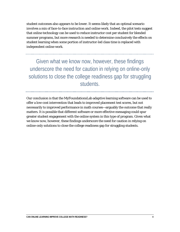student outcomes also appears to be lower. It seems likely that an optimal scenario involves a mix of face-to-face instruction and online work. Indeed, the pilot tests suggest that online technology can be used to reduce instructor cost per student for blended summer programs, but more research is needed to determine conclusively the effects on student learning when some portion of instructor-led class time is replaced with independent online work.

Given what we know now, however, these findings underscore the need for caution in relying on online-only solutions to close the college readiness gap for struggling students.

Our conclusion is that the MyFoundationsLab adaptive learning software can be used to offer a low-cost intervention that leads to improved placement test scores, but not necessarily to improved performance in math courses—arguably the outcome that really matters. It is possible that different software or more effective messaging could spur greater student engagement with the online system in this type of program. Given what we know now, however, these findings underscore the need for caution in relying on online-only solutions to close the college readiness gap for struggling students.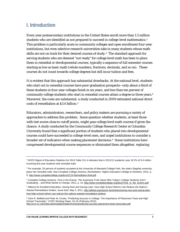# **I. Introduction**

Every year postsecondary institutions in the United States enroll more than 1.5 million students who are identified as not prepared to succeed in college-level mathematics.<sup>[2](#page-5-0)</sup> This problem is particularly acute in community colleges and open enrollment four-year institutions, but even selective research universities take in many students whose math skills are not on track for their desired courses of study. $3$  The standard approach for serving students who are deemed "not ready" for college level math has been to place them in remedial or developmental courses, typically a sequence of full semester courses starting as low as basic math (whole numbers, fractions, decimals, and so on). These courses do not count towards college degrees but still incur tuition and fees.

It is evident that this approach has substantial drawbacks. At the national level, students who start out in remedial courses have poor graduation prospects—only about a third of these students in four-year colleges finish in six years, and less than ten percent of community college students who start in remedial courses attain a degree in three years.[4](#page-5-2) Moreover, the costs are substantial: a study conducted in 2009 estimated national direct costs of remediation at \$3.6 billion[.5](#page-5-3)

Educators, administrators, researchers, and policy makers are pursuing a variety of approaches to address this problem. Some question whether students, at least those with test scores close to cutoff points, might pass college level math courses if given the chance. A study conducted by the Community College Research Center at Columbia University found that a significant portion of students who placed into developmental courses could have succeeded in college-level ones, and urged institutions to consider a broader set of indicators when making placement decisions. $6$  Some institutions have compressed developmental course sequences or eliminated them altogether, replacing

<span id="page-5-3"></span><sup>5</sup> Alliance for Excellent Education, *Saving Now and Saving Later: How High School Reform Can Reduce the Nation's Wasted Remediation Dollars*, Issue brief, May 5, 2011[, http://all4ed.org/reports-factsheets/saving-now-and-saving-later](http://all4ed.org/reports-factsheets/saving-now-and-saving-later-how-high-school-reform-can-reduce-the-nations-wasted-remediation-dollars/)[how-high-school-reform-can-reduce-the-nations-wasted-remediation-dollars/.](http://all4ed.org/reports-factsheets/saving-now-and-saving-later-how-high-school-reform-can-reduce-the-nations-wasted-remediation-dollars/)

<span id="page-5-4"></span><sup>6</sup> Clive R. Belfield and Peter M. Crosta, "Predicting Success in College: The Importance of Placement Tests and High School Transcripts," *CCRC Working Paper*, No 42 (February 2012), [http://ccrc.tc.columbia.edu/media/k2/attachments/predicting-success-placement-tests-transcripts.pdf.](http://ccrc.tc.columbia.edu/media/k2/attachments/predicting-success-placement-tests-transcripts.pdf)

<span id="page-5-0"></span><sup>&</sup>lt;sup>2</sup> NCES Digest of Education Statistics for 2014 Table 311.4 indicates that in 2011/12 academic year 16.2% of 9.4 million incoming first year students took remedial math.

<span id="page-5-1"></span><sup>&</sup>lt;sup>3</sup> For example, 20 percent of students accepted at the University of Maryland College Park, the state's flagship university, place into remedial math. See Complete College America, *Remediation: Higher Education's Bridge to Nowhere*, 2012, p. 9, [http://www.completecollege.org/docs/CCA-Remediation-final.pdf.](http://www.completecollege.org/docs/CCA-Remediation-final.pdf)

<span id="page-5-2"></span><sup>4</sup> Complete College America, *Time is the Enemy: The Surprising Truth About Why Today's College Students Aren't Graduating ...and What Needs to Change*, 2011, p. 14[, http://www.completecollege.org/docs/Time\\_Is\\_the\\_Enemy.pdf.](http://www.completecollege.org/docs/Time_Is_the_Enemy.pdf)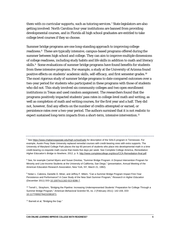them with co-curricular supports, such as tutoring services.<sup>[7](#page-6-0)</sup> State legislators are also getting involved: North Carolina four-year institutions are banned from providing developmental courses, and in Florida all high school graduates are entitled to take college level courses if they so choose.

Summer bridge programs are one long-standing approach to improving college readiness.[8](#page-6-1) These are typically intensive, campus-based programs offered during the summer between high school and college. They can aim to improve multiple dimensions of college readiness, including study habits and life skills in addition to math and literacy skills.<sup>[9](#page-6-2)</sup> Some evaluations of summer bridge programs have found benefits for students from these intensive programs. For example, a study at the University of Arizona found positive effects on students' academic skills, self-efficacy, and first semester grades.[10](#page-6-3)  The most rigorous study of summer bridge programs to date compared outcomes over a two-year period for students who participated in these programs with those of students who did not. This study involved six community colleges and two open enrollment institutions in Texas and used random assignment. The researchers found that the programs positively impacted students' pass rates in college-level math and writing, as well as completion of math and writing courses, for the first year and a half. They did not, however, find any effects on the number of credits attempted or earned, or persistence rates over a two-year period. The authors surmised that it is not realistic to expect sustained long-term impacts from a short-term, intensive intervention.<sup>[11](#page-6-4)</sup>

<span id="page-6-0"></span><sup>7</sup> Se[e https://www.chattanoogastate.edu/high-school/sails](https://www.chattanoogastate.edu/high-school/sails) for description of the SAILS program in Tennessee. For example, Austin Peay State University replaced remedial courses with credit-bearing ones with extra supports. The University of Maryland College Park places the top 60 percent of students who place into developmental math in a time credit-bearing co-requisite math course that meets five days per week. See Complete College America, *Remediation: Higher Education's Bridge to Nowhere*, 2012, p. 9[, http://www.completecollege.org/docs/CCA-Remediation-final.pdf.](http://www.completecollege.org/docs/CCA-Remediation-final.pdf)

<span id="page-6-1"></span><sup>8</sup> See, for example Carmel Myers and Susan Drevlow, "Summer Bridge Program: A Dropout Intervention Program for Minority and Low-Income Students at the University of California, San Diego," (presentation, Annual Meeting of the American Education Research Association, New York, NY, March 21, 1982).

<span id="page-6-2"></span>9 Nolan L. Cabrera, Danielle D. Miner, and Jeffrey F. Milem, "Can a Summer Bridge Program Impact First-Year Persistence and Performance? A Case Study of the New Start Summer Program," *Research in Higher Education* (December 2011) DOI [10.1007/s11162-013-9286-7.](http://dx.doi.org/10.1007/s11162-013-9286-7)

<span id="page-6-3"></span><sup>10</sup> Terrell L. Strayhorn, "Bridging the Pipeline: Increasing Underrepresented Students' Preparation for College Through a Summer Bridge Program," *American Behavioral Scientist* 55, no. 2 (February 2011): 142-159, DOI [10.1177/0002764210381871.](http://dx.doi.org/10.1177/0002764210381871)

<span id="page-6-4"></span><sup>11</sup> Barnett et al, "Bridging the Gap."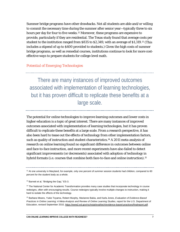Summer bridge programs have other drawbacks. Not all students are able and/or willing to commit the necessary time during the summer after senior year—typically three to six hours per day for four to five weeks.[12](#page-7-0) Moreover, these programs are expensive to provide, particularly if they are residential. The Texas study found that average costs per student to the institution ranged from \$835 to \$2,349, with an average of \$1,319.[13](#page-7-1) (This includes a stipend of up to \$400 provided to students.) Given the high costs of summer bridge programs, as well as remedial courses, institutions continue to look for more costeffective ways to prepare students for college-level math.

#### *Potential of Emerging Technologies*

There are many instances of improved outcomes associated with implementation of learning technologies, but it has proven difficult to replicate these benefits at a large scale.

The potential for online technologies to improve learning outcomes and lower costs in higher education is a topic of great interest. There are many instances of improved outcomes associated with implementation of learning technologies, but it has proven difficult to replicate these benefits at a large scale. From a research perspective, it has also been hard to tease out the effects of technology from other implementation factors, such as quality of instruction and student characteristics.[14](#page-7-2) A 2011 meta-analysis of research on online learning found no significant difference in outcomes between online and face-to-face instruction, and more recent experiments have also failed to detect significant improvements (or decrements) associated with adoption of technology in hybrid formats (i.e. courses that combine both face-to-face and online instruction).<sup>[15](#page-7-3)</sup>

<span id="page-7-0"></span> $12$  At one university in Maryland, for example, only one percent of summer session students had children, compared to 60 percent for the student body as a whole.

<span id="page-7-1"></span><sup>13</sup> Barnett et al, "Bridging the Gap," ES-3.

<span id="page-7-2"></span><sup>14</sup> The National Center for Academic Transformation provides many case studies that incorporate technology in course redesigns, often with encouraging results. Course redesigns typically involve multiple changes to instruction, making it hard to isolate the effects of the technology.

<span id="page-7-3"></span><sup>15</sup> Barbara Means, Yukie Toyama, Robert Murphy, Marianne Bakia, and Karla Jones, *Evaluation of Evidence-Based Practices in Online Learning: A Meta-Analysis and Review of Online Learning Studies*, report for the U.S. Department of Education, revised September 2010, https://www2.ed.gov/rschstat/eval/tech/evidence-based-practices/finalreport.pdf.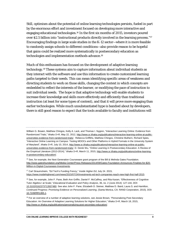Still, optimism about the potential of online learning technologies persists, fueled in part by the enormous effort and investment focused on developing more interactive and engaging educational technologies.[16](#page-8-0) In the first six months of 2015, investors poured over \$2.5 billion into "instructional products directly involved in the learning process."[17](#page-8-1) Encouraging findings in large scale studies in the K-12 sector—where it is more feasible to randomly assign schools to different conditions—also provide reason to be hopeful that gains could be realized more systematically in postsecondary education as technologies and implementation methods advance.<sup>[18](#page-8-2)</sup>

Much of this enthusiasm has focused on the development of adaptive learning technology.[19](#page-8-3) These systems aim to capture information about individual students as they interact with the software and use this information to create customized learning paths targeted to their needs. This can mean identifying specific areas of weakness and directing students to work on those skills, changing the context in which concepts are embedded to reflect the interests of the learner, or modifying the pace of instruction to suit individual needs. The hope is that adaptive technology will enable students to increase their knowledge and skills more effectively and efficiently than traditional instruction (at least for some types of content), and that it will prove more engaging than earlier technologies. While much unsubstantiated hype is bandied about by developers, there is still good reason to expect that the tools available to faculty and institutions will

William G. Bowen, Matthew Chingos, Kelly A. Lack, and Thomas I. Nygren, "Interactive Learning Online: Evidence from Randomized Trials," *Ithaka S+R*, May 22, 2012, [http://www.sr.ithaka.org/publications/interactive-learning-online-at-public](http://www.sr.ithaka.org/publications/interactive-learning-online-at-public-universities-evidence-from-randomized-trials/)[universities-evidence-from-randomized-trials/.](http://www.sr.ithaka.org/publications/interactive-learning-online-at-public-universities-evidence-from-randomized-trials/) Rebecca Griffiths, Matthew Chingos, Christine Mulhern, Richard Spies, "Interactive Online Learning on Campus: Testing MOOCs and Other Platforms in Hybrid Formats in the University System of Maryland", *Ithaka S+R*, July 10, 2014, [http://www.sr.ithaka.org/publications/interactive-learning-online-at-public](http://www.sr.ithaka.org/publications/interactive-learning-online-at-public-universities-evidence-from-randomized-trials/)[universities-evidence-from-randomized-trials/.](http://www.sr.ithaka.org/publications/interactive-learning-online-at-public-universities-evidence-from-randomized-trials/) D. Derek Wu, "Online Learning in Postsecondary Education: A Review of the Empirical Literature (2013-2014)," Ithaka S+R, March 11, 2015[, http://www.sr.ithaka.org/publications/online-learning](http://www.sr.ithaka.org/publications/online-learning-in-postsecondary-education/)[in-postsecondary-education/.](http://www.sr.ithaka.org/publications/online-learning-in-postsecondary-education/)

<span id="page-8-0"></span><sup>16</sup> See, for example, the Next Generation Courseware grant program of the Bill & Melinda Gates Foundation. [http://www.gatesfoundation.org/Media-Center/Press-Releases/2014/09/Gates-Foundation-Announces-Finalists-for-\\$20-](http://www.gatesfoundation.org/Media-Center/Press-Releases/2014/09/Gates-Foundation-Announces-Finalists-for-$20-Million-in-Digital-Courseware-Investments) [Million-in-Digital-Courseware-Investments.](http://www.gatesfoundation.org/Media-Center/Press-Releases/2014/09/Gates-Foundation-Announces-Finalists-for-$20-Million-in-Digital-Courseware-Investments)

<span id="page-8-1"></span><sup>17</sup> Carl Straumsheim, "Ed Tech's Funding Frenzy," *Inside Higher Ed*, July 24. 2015, [https://www.insidehighered.com/news/2015/07/24/investments-ed-tech-companies-reach-new-high-first-half-2015.](https://www.insidehighered.com/news/2015/07/24/investments-ed-tech-companies-reach-new-high-first-half-2015)

<span id="page-8-2"></span><sup>18</sup> See, for example, John F. Pane, Beth Ann Griffin, Daniel F. McCaffrey, and Rita Karam, "Effectiveness of Cognitive Tutor Algebra I at Scale," *Educational Evaluation and Policy Analysis*, 36, no. 2 (June 2014): 127-144, DOI: [10.3102/0162373713507480.](http://dx.doi.org/10.3102/0162373713507480) See also John F. Pane, Elizabeth D. Steiner, Matthew D. Baird, Laura S. and Hamilton, *Continued Progress: Promising Evidence on Personalized Learning*, (Santa Monica, CA: RAND Corporation, 2015). DOI: [10.7249/RR1365.1.](http://dx.doi.org/10.7249/RR1365.1)

<span id="page-8-3"></span><sup>19</sup> For an overview of a number of adaptive learning solutions, see Jessie Brown, "Personalizing Post-Secondary Education: An Overview of Adaptive Learning Solutions for Higher Education," *Ithaka S+R*, March 18, 2015, [http://www.sr.ithaka.org/publications/personalizing-post-secondary-education/.](http://www.sr.ithaka.org/publications/personalizing-post-secondary-education/)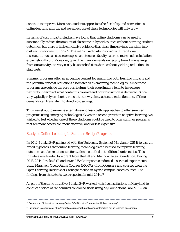continue to improve. Moreover, students appreciate the flexibility and convenience online learning affords, and we expect use of these technologies will only grow.

In terms of cost impacts, studies have found that online platforms can be used to substantially reduce the amount of class time in hybrid courses without harming student outcomes, but there is little conclusive evidence that these time savings translate into cost savings for institutions.[20](#page-9-0) The many fixed costs involved with traditional instruction, such as classroom space and tenured faculty salaries, make such calculations extremely difficult. Moreover, given the many demands on faculty time, time savings from one activity can very easily be absorbed elsewhere without yielding reductions in staff costs.

Summer programs offer an appealing context for examining both learning impacts and the potential for cost reductions associated with emerging technologies. Since these programs are outside the core curriculum, their coordinators tend to have more flexibility in terms of what content is covered and how instruction is delivered. Since they typically rely on short-term contracts with instructors, a reduction in staff time demands can translate into direct cost savings.

Thus we set out to examine alternative and less costly approaches to offer summer programs using emerging technologies. Given the recent growth in adaptive learning, we wished to test whether one of these platforms could be used to offer summer programs that are more accessible, more effective, and/or less expensive.

#### *Study of Online Learning in Summer Bridge Programs*

In 2012, Ithaka S+R partnered with the University System of Maryland (USM) to test the broad hypothesis that online learning technologies can be used to improve learning outcomes and/or reduce costs for students enrolled in traditional universities. This initiative was funded by a grant from the Bill and Melinda Gates Foundation. During 2013-2014, Ithaka S+R and seven USM campuses conducted a series of experiments using Massively Open Online Courses (MOOCs) from Coursera and courses from the Open Learning Initiative at Carnegie Mellon in hybrid campus-based courses. The findings from those tests were reported in mid-2014.[21](#page-9-1)

As part of the same initiative, Ithaka S+R worked with five institutions in Maryland to conduct a series of randomized controlled trials using MyFoundationsLab (MFL), an

<span id="page-9-0"></span>

<sup>&</sup>lt;sup>20</sup> Bowen et al, "Interactive Learning Online." Griffiths et al," Interactive Online Learning."

<span id="page-9-1"></span><sup>&</sup>lt;sup>21</sup> Full report is available a[t http://sr.ithaka.org/research-publications/interactive-online-learning-on-campus.](http://sr.ithaka.org/research-publications/interactive-online-learning-on-campus)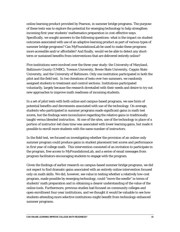online learning product provided by Pearson, in summer bridge programs. The purpose of these tests was to explore the potential for emerging technology to help strengthen incoming first-year students' mathematics preparation in cost-effective ways. Specifically, we sought answers to the following questions: what is the impact on student outcomes associated with use of an adaptive learning product as part of various types of summer bridge programs? Can MyFoundationsLab be used to make these programs more accessible and/or affordable? And finally, would we be able to detect any shortterm or sustained benefits from interventions that are delivered entirely online?

Five institutions were involved over the three-year study: the University of Maryland, Baltimore County (UMBC), Towson University, Bowie State University, Coppin State University, and the University of Baltimore. Only one institution participated in both the pilot and the field test. In two iterations of tests over two summers, we randomly assigned students to treatment and control sections. Institutions participated voluntarily, largely because the research dovetailed with their needs and desire to try out new approaches to improve math readiness of incoming students.

In a set of pilot tests with both online and campus-based programs, we saw hints of potential benefits and decrements associated with use of the technology. On average, students who participated in summer programs made significant gains in math test scores, but the findings were inconclusive regarding the relative gains in traditionally taught versus blended instruction. At one of the sites, use of the technology in place of a portion of instructor-led class time was associated with lower learning gains, but made it possible to enroll more students with the same number of instructors.

In the field test, we focused on investigating whether the provision of an online-only summer program could produce gains in student placement test scores and performance in first year of college math. This intervention consisted of an invitation to participate in the program, free access to MyFoundationsLab, and a series of email messages from program facilitators encouraging students to engage with the program.

Given the findings of earlier research on campus-based summer bridge programs, we did not expect to find dramatic gains associated with an entirely online intervention focused only on math skills. We did, however, see value in testing whether a relatively low-cost program, made possible by emerging technology, could "move the needle" in terms of students' math preparation and in obtaining a clearer understanding of the value of the online tools. Furthermore, previous studies had focused on community colleges and open enrollment four-year institutions, and we thought it would be valuable to see how students attending more selective institutions might benefit from technology-enhanced summer programs.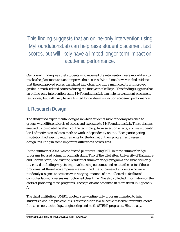This finding suggests that an online-only intervention using MyFoundationsLab can help raise student placement test scores, but will likely have a limited longer-term impact on academic performance.

Our overall finding was that students who received the intervention were more likely to retake the placement test and improve their scores. We did not, however, find evidence that these improved scores translated into obtaining more math credits or improved grades in math-related courses during the first year of college. This finding suggests that an online-only intervention using MyFoundationsLab can help raise student placement test scores, but will likely have a limited longer-term impact on academic performance.

# **II. Research Design**

The study used experimental designs in which students were randomly assigned to groups with different levels of access and exposure to MyFoundationsLab. These designs enabled us to isolate the effects of the technology from selection effects, such as students' level of motivation to learn math or work independently online. Each participating institution had specific requirements for the format of their program and research design, resulting in some important differences across sites.

In the summer of 2013, we conducted pilot tests using MFL in three summer bridge programs focused primarily on math skills. Two of the pilot sites, University of Baltimore and Coppin State, had existing residential summer bridge programs and were primarily interested in finding ways to improve learning outcomes and reduce the costs of these programs. At these two campuses we examined the outcomes of students who were randomly assigned to sections with varying amounts of time allotted to facilitated computer lab work versus instructor-led class time. We also collected information on the costs of providing these programs. These pilots are described in more detail in Appendix A.

The third institution, UMBC, piloted a new online-only program intended to help students place into pre-calculus. This institution is a selective research university known for its science, technology, engineering and math (STEM) programs. Historically,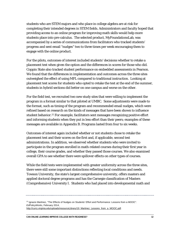students who are STEM majors and who place in college algebra are at risk for completing their intended degrees in STEM fields. Administrators and faculty hoped that providing access to an online program for improving math skills would help more students place into pre-calculus. The selected product, MyFoundationsLab, was accompanied by a series of communications from facilitators who tracked students' progress and sent email "nudges" two to three times per week encouraging them to engage with the online product.

For the pilots, outcomes of interest included students' decisions whether to retake a placement test when given the option and the differences in scores for those who did. Coppin State also tracked student performance on embedded assessments in Pearson. We found that the differences in implementation and outcomes across the three sites outweighed the effect of using MFL compared to traditional instruction. Looking at placement test scores for students who opted to retake the test at the end of the summer, students in hybrid sections did better on one campus and worse on the other.

For the field test, we recruited two new study sites that were willing to implement the program in a format similar to that piloted at UMBC. Some adjustments were made to the format, such as timing of the program and recommended email nudges, which were refined based on research on the kinds of messages that have been shown to influence student behavior.<sup>22</sup> For example, facilitators sent messages recognizing positive effort and informing students when they put in less effort than their peers; examples of these messages are available in Appendix B. Programs lasted from four to six weeks.

Outcomes of interest again included whether or not students chose to retake the placement test and their scores on the first and, if applicable, second test administrations. In addition, we observed whether students who were invited to participate in the program enrolled in math-related courses during their first year in college, their course grades, and whether they passed those courses. We also examined overall GPA to see whether there were spillover effects on other types of courses.

While the field tests were implemented with greater uniformity across the three sites, there were still some important distinctions reflecting local conditions and needs. Towson University, the state's largest comprehensive university, offers masters and applied doctoral degree programs and has the Carnegie classification of Masters (Comprehensive) University I. Students who had placed into developmental math and

<span id="page-12-0"></span><sup>&</sup>lt;sup>22</sup> Ignacio Martinez, "The Effects of Nudges on Students' Effort and Performance: Lessons from a MOOC". *EdPolicyWorks*, February 2014, [http://curry.virginia.edu/uploads/resourceLibrary/19\\_Martinez\\_Lessons\\_from\\_a\\_MOOC.pdf.](http://curry.virginia.edu/uploads/resourceLibrary/19_Martinez_Lessons_from_a_MOOC.pdf)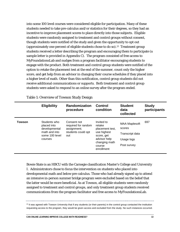into some 100 level courses were considered eligible for participation. Many of these students needed to take pre-calculus and/or statistics for their degrees, so they had an incentive to improve placement scores to place directly into those subjects. Eligible students were randomly assigned to treatment and control groups without consent, though students were notified of the study and given the opportunity to opt out (approximately one percent of eligible students chose to do so).[23](#page-13-0) Treatment group students received a letter describing the program and encouraging them to participate (a sample letter is provided in Appendix C). The program consisted of free access to MyFoundationsLab and nudges from a program facilitator encouraging students to engage with the product. Both treatment and control group students were notified of the option to retake the placement test at the end of the summer, count only the higher score, and get help from an advisor in changing their course schedules if they placed into a higher level of math. Other than this notification, control group students did not receive additional communications or supports. Both treatment and control group students were asked to respond to an online survey after the program ended.

|               | <b>Eligibility</b>                                                                         | <b>Randomization</b><br>procedure                                              | <b>Control</b><br>condition                                                                                                   | <b>Student</b><br>data<br>collected                                            | <b>Study</b><br>participants |
|---------------|--------------------------------------------------------------------------------------------|--------------------------------------------------------------------------------|-------------------------------------------------------------------------------------------------------------------------------|--------------------------------------------------------------------------------|------------------------------|
| <b>Towson</b> | Students who<br>placed into<br>developmental<br>math and into<br>some 100 level<br>courses | Consent not<br>required for random<br>assignment;<br>students could opt<br>out | Invited to<br>retake<br>placement test,<br>use highest<br>score, get<br>advisor help<br>changing math<br>course<br>enrollment | <b>MAA Maplesoft</b><br>scores<br>Transcript data<br>Usage logs<br>Post survey | 697                          |

Table 1: Overview of Towson Study Design

Bowie State is an HBCU with the Carnegie classification Master's College and University I. Administrators chose to focus the intervention on students who placed into developmental math and below pre-calculus. Those who had already signed up to attend an intensive in-person summer bridge program were excluded based on the belief that the latter would be more beneficial. As at Towson, all eligible students were randomly assigned to treatment and control groups, and only treatment group students received communications from the program facilitator and free access to MyFoundationsLab.

<span id="page-13-0"></span> $23$  It was agreed with Towson University that if any students (or their parents) in the control group contacted the institution requesting access to the program, they would be given access and excluded from the study. No such instances occurred.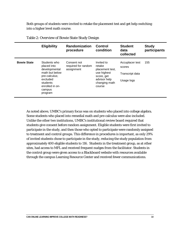Both groups of students were invited to retake the placement test and get help switching into a higher level math course.

|                    | <b>Eligibility</b>                                                                                                                              | <b>Randomization</b><br>procedure                | <b>Control</b><br>condition                                                                                     | <b>Student</b><br>data<br>collected                        | <b>Study</b><br>participants |
|--------------------|-------------------------------------------------------------------------------------------------------------------------------------------------|--------------------------------------------------|-----------------------------------------------------------------------------------------------------------------|------------------------------------------------------------|------------------------------|
| <b>Bowie State</b> | Students who<br>placed into<br>developmental<br>math but below<br>pre-calculus;<br>excluded<br>students<br>enrolled in on-<br>campus<br>program | Consent not<br>required for random<br>assignment | Invited to<br>retake<br>placement test,<br>use highest<br>score, get<br>advisor help<br>changing math<br>course | Accuplacer test<br>scores<br>Transcript data<br>Usage logs | 155                          |

Table 2: Overview of Bowie State Study Design

As noted above, UMBC's primary focus was on students who placed into college algebra. Some students who placed into remedial math and pre-calculus were also included. Unlike the other two institutions, UMBC's institutional review board required that students give consent before random assignment. Eligible students were first invited to participate in the study, and then those who opted to participate were randomly assigned to treatment and control groups. This difference in procedures is important, as only 29% of invited students chose to participate in the study, reducing the study population from approximately 400 eligible students to 116. Students in the treatment group, as at other sites, had access to MFL and received frequent nudges from the facilitator. Students in the control group were given access to a Blackboard website with resources available through the campus Learning Resource Center and received fewer communications.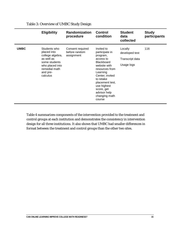|             | <b>Eligibility</b>                                                                                                                         | <b>Randomization</b><br>procedure               | <b>Control</b><br>condition                                                                                                                                                                                                                         | <b>Student</b><br>data<br>collected                        | <b>Study</b><br>participants |
|-------------|--------------------------------------------------------------------------------------------------------------------------------------------|-------------------------------------------------|-----------------------------------------------------------------------------------------------------------------------------------------------------------------------------------------------------------------------------------------------------|------------------------------------------------------------|------------------------------|
| <b>UMBC</b> | Students who<br>placed into<br>college algebra,<br>as well as<br>some students<br>who placed into<br>remedial math<br>and pre-<br>calculus | Consent required<br>before random<br>assignment | Invited to<br>participate in<br>program,<br>access to<br><b>Blackboard</b><br>website with<br>resources from<br>Learning<br>Center; invited<br>to retake<br>placement test,<br>use highest<br>score, get<br>advisor help<br>changing math<br>course | Locally<br>developed test<br>Transcript data<br>Usage logs | 116                          |

Table 3: Overview of UMBC Study Design

Table 4 summarizes components of the intervention provided to the treatment and control groups at each institution and demonstrates the consistency in intervention design for all three institutions. It also shows that UMBC had smaller differences in format between the treatment and control groups than the other two sites.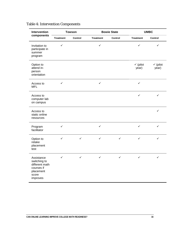| Intervention                                                                                 |                  | <b>Towson</b>  |                  | <b>Bowie State</b> |                              | <b>UMBC</b>                  |
|----------------------------------------------------------------------------------------------|------------------|----------------|------------------|--------------------|------------------------------|------------------------------|
| components                                                                                   | <b>Treatment</b> | <b>Control</b> | <b>Treatment</b> | Control            | <b>Treatment</b>             | Control                      |
| Invitation to<br>participate in<br>summer<br>program                                         | ✓                |                | $\checkmark$     |                    | $\checkmark$                 | ✓                            |
| Option to<br>attend in-<br>person<br>orientation                                             |                  |                |                  |                    | $\checkmark$ (pilot<br>year) | $\checkmark$ (pilot<br>year) |
| Access to<br><b>MFL</b>                                                                      | ✓                |                | $\checkmark$     |                    | $\checkmark$                 |                              |
| Access to<br>computer lab<br>on campus                                                       |                  |                |                  |                    | $\checkmark$                 | ✓                            |
| Access to<br>static online<br>resources                                                      |                  |                |                  |                    |                              | ✓                            |
| Program<br>facilitator                                                                       | ✓                |                | ✓                |                    | $\checkmark$                 | ✓                            |
| Option to<br>retake<br>placement<br>test                                                     | $\checkmark$     | $\checkmark$   | $\checkmark$     | $\checkmark$       | $\checkmark$                 | $\checkmark$                 |
| Assistance<br>switching to<br>different math<br>courses if<br>placement<br>score<br>improves | ✓                | ✓              | ✓                | ✓                  | ✓                            | ✓                            |

### Table 4: Intervention Components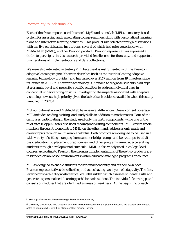#### *Pearson MyFoundationsLab*

Each of the five campuses used Pearson's MyFoundationsLab (MFL), a mastery-based system for assessing and remediating college readiness skills with personalized learning plans and interactive learning activities. This product was selected through discussions with the five participating institutions, several of which had prior experience with MyMathLab (MML), another Pearson product. Pearson representatives expressed a desire to participate in this research, provided free licenses for the study, and supported two iterations of implementations and data collections.

We were also interested in testing MFL because it is instrumented with the Knewton adaptive learning engine. Knewton describes itself as the "world's leading adaptive learning technology provider" and has raised over \$147 million from 19 investors since its launch in 2008.<sup>24</sup> Knewton's technology is intended to diagnose students' skill gaps at a granular level and prescribe specific activities to address individual gaps in conceptual understanding or skills. Investigating the impacts associated with adaptive technologies was a high priority given the lack of such evidence available when this study launched in 2013.[25](#page-17-1)

MyFoundationsLab and MyMathLab have several differences. One is content coverage: MFL includes reading, writing, and study skills in addition to mathematics. Four of the campuses participating in the study used only the math components, while one of the pilot sites (Coppin State) also used reading and writing components. MFL covers whole numbers through trigonometry. MML, on the other hand, addresses only math and covers topics through multivariable calculus. Both products are designed to be used in a wide variety of settings, ranging from summer bridge camps and boot camps, to adult basic education, to placement prep courses, and other programs aimed at accelerating students through developmental curricula. MML is also widely used in college-level courses. According to Pearson, the strongest implementations of these two products are in blended or lab-based environments within educator-managed programs or courses.

MFL is designed to enable students to work independently and at their own pace. Pearson representatives describe the product as having two layers of adaptivity. The first layer begins with a diagnostic test called PathBuilder, which assesses students' skills and generates a personalized "learning path" for each student. The individual "learning path" consists of modules that are identified as areas of weakness. At the beginning of each

<span id="page-17-0"></span><sup>&</sup>lt;sup>24</sup> See [https://www.crunchbase.com/organization/knewton#/entity.](https://www.crunchbase.com/organization/knewton%23/entity)

<span id="page-17-1"></span><sup>&</sup>lt;sup>25</sup> University of Baltimore was unable to use the Knewton component of the platform because the program coordinators opted to integrate MFL with their placement test provider instead.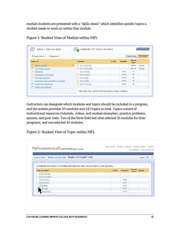module students are presented with a "skills check" which identifies specific topics a student needs to work on within that module.

| <b>Extra Practice</b><br>Select a Topic to study<br><b>3</b> Complete the Topic's activities |                                       |                                                 |                |                    |            |                               |                                |                   |  |
|----------------------------------------------------------------------------------------------|---------------------------------------|-------------------------------------------------|----------------|--------------------|------------|-------------------------------|--------------------------------|-------------------|--|
|                                                                                              | Needs Study: 3 $\star$ Mastered: 5    |                                                 |                |                    |            |                               | <b>Needs Study</b>             | <b>All Topics</b> |  |
|                                                                                              | <b>Topics List</b>                    |                                                 |                | <b>Activities</b>  | <b>Due</b> | <b>Attempts</b>               | <b>Current</b><br><b>Score</b> |                   |  |
| *                                                                                            | <b>Getting Started</b>                | ▶                                               | $\Delta$<br>×. | W5.1 Overview      |            |                               | 100%                           | Review            |  |
|                                                                                              | <b>The Writing Process</b>            |                                                 | ✔              | W5.1 Animation     |            |                               | 66.7%                          | Review            |  |
| $\star$                                                                                      | Prewriting                            |                                                 |                | W5.1 Recall 1      |            | 0 <sub>0</sub> f <sub>2</sub> | м                              |                   |  |
| $\star$                                                                                      | Recognizing a Paragraph               |                                                 | $\star$        | W5.1 Recall 2      |            | $0$ of $2$                    | М                              |                   |  |
| $\star$                                                                                      | The Topic Sentence                    |                                                 |                | $\star$ W5.1 Apply |            | $0$ of $2$                    | м                              |                   |  |
| $\star$                                                                                      | Developing and Organizing a Paragraph |                                                 |                | $\star$ W5.1 Write |            | $0$ of $1$                    | М                              |                   |  |
| ◢                                                                                            | Revising the Paragraph                |                                                 | $\star$        | W5.1 Post-test     |            | $0$ of $2$                    | м                              |                   |  |
|                                                                                              | Editing the Paragraph                 |                                                 |                |                    |            |                               |                                |                   |  |
|                                                                                              |                                       | Take the Post-test to demonstrate Topic mastery |                |                    |            |                               |                                |                   |  |

Figure 1: Student View of Module within MFL

Instructors can designate which modules and topics should be included in a program, and the system provides 20 modules and 243 topics in total. Topics consist of instructional resources (tutorials, videos, and worked examples), practice problems, quizzes, and post-tests. Two of the three field test sites selected 16 modules for their programs, and one selected 10 modules.

Figure 2: Student View of Topic within MFL

| MyFoundationsLab <sup>N</sup> with KNEWTON Adaptive Learning                                             |             |                 |                  | Top Faculty 9/18/12 2:30 PM |
|----------------------------------------------------------------------------------------------------------|-------------|-----------------|------------------|-----------------------------|
| Course Home / Writing Learning Path / Regular and Irregular Verbs                                        |             |                 |                  | Legend                      |
| Complete the topic's activities and take the Post-test to check your mastery.<br><b>Topic Activities</b> | <b>ODue</b> | <b>Attempts</b> | Current<br>Score | <b>Review</b>               |
| W1.8 Overview                                                                                            |             |                 |                  |                             |
| W1.8 Animation                                                                                           |             |                 |                  |                             |
|                                                                                                          |             | $0$ of $2$      |                  |                             |
| W1.8 Recall 1                                                                                            |             | $0$ of $2$      |                  |                             |
| W1.8 Recall 2                                                                                            |             |                 |                  |                             |
| W1.8 Apply                                                                                               |             | $0$ of $2$      |                  |                             |
| 1.8 Write                                                                                                |             | $0$ of $1$      |                  |                             |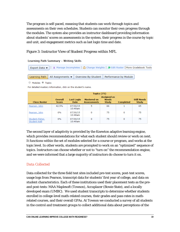The program is self-paced, meaning that students can work through topics and assessments on their own schedules. Students can monitor their own progress through the modules. The system also provides an instructor dashboard providing information about students' scores on assessments in the system, their progress in the course by topic and unit, and engagement metrics such as last login time and date.

#### Figure 3: Instructor View of Student Progress within MFL

#### **Learning Path Summary - Writing Skills**

```
T Manage Incompletes | \frac{1}{20} Change Weights | \frac{1}{20} Edit Roster | More Gradebook Tools
Export Data \blacktriangledownAll Assignments
Learning Path
                                           Overview By Student
                                                                      Performance by Module
```
○ Modules ● Topics

For detailed mastery information, click on the student's name.

|                                  |                         | Topics (75)                      |                                          |                                             |                  |                                    |  |  |  |  |
|----------------------------------|-------------------------|----------------------------------|------------------------------------------|---------------------------------------------|------------------|------------------------------------|--|--|--|--|
| <b>Class Roster</b>              | Overall<br><b>Score</b> | <b>Last Login</b><br><b>Date</b> | <b>Mastered on</b><br><b>Assessments</b> | Assigned as<br><b>Needs</b><br><b>Study</b> | <b>Completed</b> | <b>Still Needs</b><br><b>Study</b> |  |  |  |  |
| Pearson, John                    | 42.5%                   | 07/30/15<br>10:49am              | 5                                        | 66                                          |                  | 65                                 |  |  |  |  |
| Pearson, John                    | $0\%$                   | 07/30/15<br>10:48am              | 0                                        | 75                                          | 0                | 75                                 |  |  |  |  |
| Student-Fisher,<br>Student-Kelli | $0\%$                   | 07/30/15<br>10:49am              | 0                                        | 75                                          | 0                | 75                                 |  |  |  |  |

The second layer of adaptivity is provided by the Knewton adaptive learning engine, which provides recommendations for what each student should review or work on next. It functions within the set of modules selected for a course or program, and works at the topic level. In other words, students are prompted to work on an "optimized" sequence of topics. Instructors can choose whether or not to "turn on" the recommendation engine, and we were informed that a large majority of instructors do choose to turn it on.

#### *Data Collected*

Data collected for the three field test sites included pre-test scores, post-test scores, usage logs from Pearson, transcript data for students' first year of college, and data on student characteristics. Each of these institutions used their placement tests as the preand post-tests: MAA Maplesoft (Towson), Accuplacer (Bowie State), and a locally developed exam (UMBC). We used student transcripts to determine whether students enrolled in college-level math-related courses, their grades and pass rates in mathrelated courses, and their overall GPAs. At Towson we conducted a survey of all students in the control and treatment groups to collect additional data about perceptions of the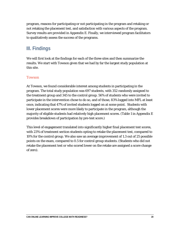program, reasons for participating or not participating in the program and retaking or not retaking the placement test, and satisfaction with various aspects of the program. Survey results are provided in Appendix E. Finally, we interviewed program facilitators to qualitatively assess the success of the programs.

# **III. Findings**

We will first look at the findings for each of the three sites and then summarize the results. We start with Towson given that we had by far the largest study population at this site.

#### *Towson*

At Towson, we found considerable interest among students in participating in the program. The total study population was 697 students, with 352 randomly assigned to the treatment group and 345 to the control group. 56% of students who were invited to participate in the intervention chose to do so, and of those, 83% logged into MFL at least once, indicating that 47% of invited students logged on at some point. Students with lower placement scores were more likely to participate in the program, although the majority of eligible students had relatively high placement scores. (Table 1 in Appendix E provides breakdown of participation by pre-test score.)

This level of engagement translated into significantly higher final placement test scores, with 23% of treatment section students opting to retake the placement test, compared to 10% for the control group. We also saw an average improvement of 1.3 out of 25 possible points on the exam, compared to 0.5 for control group students. (Students who did not retake the placement test or who scored lower on the retake are assigned a score change of zero).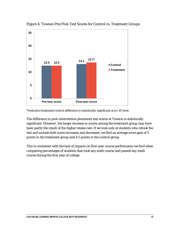

Figure 4: Towson Pre/Post-Test Scores for Control vs. Treatment Groups

\*Indicates treatment/control difference is statistically significant at p<.10 level.

The difference in post-intervention placement test scores at Towson is statistically significant. However, the larger increase in scores among the treatment group may have been partly the result of the higher retake rate. If we look only at students who retook the test and include both score increases and decreases, we find an average score gain of 5 points in the treatment group and 4.5 points in the control group.

This is consistent with the lack of impacts on first-year course performance we find when comparing percentages of students that took any math course and passed any math course during the first year of college.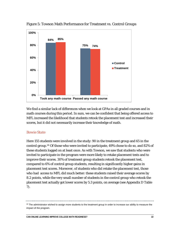

Figure 5: Towson Math Performance for Treatment vs. Control Groups

We find a similar lack of differences when we look at GPAs in all graded courses and in math courses during this period. In sum, we can be confident that being offered access to MFL increased the likelihood that students retook the placement test and increased their scores, but it did not necessarily increase their knowledge of math.

#### *Bowie State*

Here 155 students were involved in the study: 90 in the treatment group and 65 in the control group.[26](#page-22-0) Of those who were invited to participate, 49% chose to do so, and 82% of these students logged on at least once. As with Towson, we saw that students who were invited to participate in the program were more likely to retake placement tests and to improve their scores. 30% of treatment group students retook the placement test, compared to 6% of control group students, resulting in significantly higher gains in placement test scores. Moreover, of students who did retake the placement test, those who had access to MFL did much better: these students raised their average scores by 8.2 points, while the very small number of students in the control group who retook the placement test actually got lower scores by 5.3 points, on average (see Appendix D Table 7).

<span id="page-22-0"></span><sup>&</sup>lt;sup>26</sup> The administrator wished to assign more students to the treatment group in order to increase our ability to measure the impact of the program.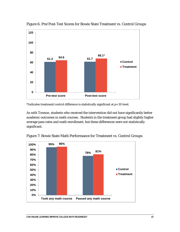

Figure 6: Pre/Post-Test Scores for Bowie State Treatment vs. Control Groups

\*Indicates treatment/control difference is statistically significant at p<.10 level.

As with Towson, students who received the intervention did not have significantly better academic outcomes in math courses. Students in the treatment group had slightly higher average pass rates and math enrollment, but these differences were not statistically significant.



Figure 7: Bowie State Math Performance for Treatment vs. Control Groups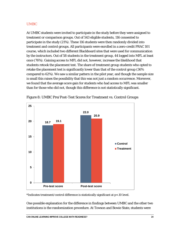#### *UMBC*

At UMBC students were invited to participate in the study before they were assigned to treatment or comparison groups. Out of 543 eligible students, 116 consented to participate in the study (21%). These 116 students were then randomly divided into treatment and control groups. All participants were enrolled in a zero-credit PRAC 101 course, which included two different Blackboard sites that were used for communication by the instructors. Out of 58 students in the treatment group, 44 logged into MFL at least once (76%). Gaining access to MFL did not, however, increase the likelihood that students retook the placement test. The share of treatment group students who opted to retake the placement test is significantly lower than that of the control group (36% compared to 62%). We saw a similar pattern in the pilot year, and though the sample size is small this raises the possibility that this was not just a random occurrence. Moreover, we found that the average score gain for students who had access to MFL was smaller than for those who did not, though this difference is not statistically significant.



#### Figure 8: UMBC Pre/Post-Test Scores for Treatment vs. Control Groups

\*Indicates treatment/control difference is statistically significant at p<.10 level.

One possible explanation for the difference in findings between UMBC and the other two institutions is the randomization procedure. At Towson and Bowie State, students were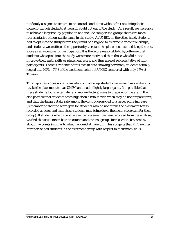randomly assigned to treatment or control conditions without first obtaining their consent (though students at Towson could opt out of the study). As a result, we were able to achieve a larger study population and include comparison groups that were more representative of non-participants in the study. At UMBC, on the other hand, students had to opt into the study *before* they could be assigned to treatment or control groups, and students were offered the opportunity to retake the placement test and keep the best score as an incentive for participation. It is therefore reasonable to hypothesize that students who opted into the study were more motivated than those who did not to improve their math skills or placement score, and thus are not representative of nonparticipants. There is evidence of this bias in data showing how many students actually logged into MFL—76% of the treatment cohort at UMBC compared with only 47% at Towson.

This hypothesis does not explain why control group students were much more likely to retake the placement test at UMBC and made slightly larger gains. It is possible that these students found alternate (and more effective) ways to prepare for the exam. It is also possible that students score higher on a retake even when they do not prepare for it, and thus the larger retake rate among the control group led to a larger score increase (remembering that the score gain for students who do not retake the placement test is recorded as zero, and thus these students may bring down the mean score gain for their group). If students who did not retake the placement test are removed from the analysis, we find that students in both treatment and control groups increased their scores by about five points (similar to what we found at Towson). This suggests that MFL neither hurt nor helped students in the treatment group with respect to their math skills.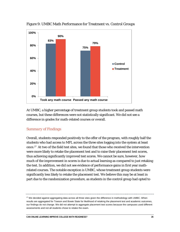

Figure 9: UMBC Math Performance for Treatment vs. Control Groups

At UMBC, a higher percentage of treatment group students took and passed math courses, but these differences were not statistically significant. We did not see a difference in grades for math-related courses or overall.

#### *Summary of Findings*

Overall, students responded positively to the offer of the program, with roughly half the students who had access to MFL across the three sites logging into the system at least once.[27](#page-26-0) At two of the field test sites, we found that those who received the intervention were more likely to retake the placement test and to raise their placement test scores, thus achieving significantly improved test scores. We cannot be sure, however, how much of the improvement in scores is due to actual learning as compared to just retaking the test. In addition, we did not see evidence of performance gains in first year mathrelated courses. The notable exception is UMBC, whose treatment group students were significantly less likely to retake the placement test. We believe this may be at least in part due to the randomization procedure, as students in the control group had opted to

<span id="page-26-0"></span><sup>27</sup> We decided against aggregating data across all three sites given the difference in methodology with UMBC. When results are aggregated for Towson and Bowie State for likelihood of retaking the placement test and academic outcomes, our findings do not change. We did not attempt to aggregate placement test scores because the campuses used different assessments and not all students chose to retake the exam.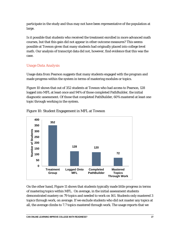participate in the study and thus may not have been representative of the population at large.

Is it possible that students who received the treatment enrolled in more advanced math courses, but that this gain did not appear in other outcome measures? This seems possible at Towson given that many students had originally placed into college level math. Our analysis of transcript data did not, however, find evidence that this was the case.

#### *Usage Data Analysis*

Usage data from Pearson suggests that many students engaged with the program and made progress within the system in terms of mastering modules or topics.

Figure 10 shows that out of 352 students at Towson who had access to Pearson, 128 logged into MFL at least once and 94% of those completed PathBuilder, the initial diagnostic assessment. Of those that completed PathBuilder, 60% mastered at least one topic through working in the system.



Figure 10: Student Engagement in MFL at Towson

On the other hand, Figure 11 shows that students typically made little progress in terms of mastering topics within MFL. On average, in the initial assessment students demonstrated mastery on 79 topics and needed to work on 161. Students only mastered 3 topics through work, on average. If we exclude students who did not master any topics at all, the average climbs to 7.7 topics mastered through work. The usage reports that we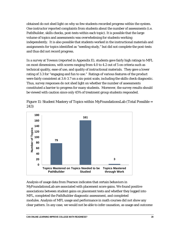obtained do not shed light on why so few students recorded progress within the system. One instructor reported complaints from students about the number of assessments (i.e. PathBuilder, skills checks, post-tests within each topic). It is possible that the large volume of topics and assessments was overwhelming for students working independently. It is also possible that students worked in the instructional materials and assignments for topics identified as "needing study," but did not complete the post-tests and thus did not record progress.

In a survey at Towson (reported in Appendix E), students gave fairly high ratings to MFL on most dimensions, with scores ranging from 4.0 to 4.2 out of 5 on criteria such as technical quality, ease of use, and quality of instructional materials. They gave a lower rating of 3.3 for "engaging and fun to use." Ratings of various features of the product were fairly consistent at 3.6-3.7 on a six-point scale, including the skills check diagnostic. Thus, survey responses do not shed light on whether the number of assessments constituted a barrier to progress for many students. Moreover, the survey results should be viewed with caution since only 45% of treatment group students responded.

Figure 11: Student Mastery of Topics within MyFoundationsLab (Total Possible = 243)



Analysis of usage data from Pearson indicates that certain behaviors in MyFoundationsLab are associated with placement score gains. We found positive associations between student gains on placement tests and whether they logged into MFL, completed the PathBuilder diagnostic assessment, and completed modules. Analysis of MFL usage and performance in math courses did not show any clear pattern. In any case, we would not be able to infer causation, as usage and outcome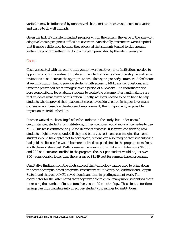variables may be influenced by unobserved characteristics such as students' motivation and desire to do well in math.

Given the lack of consistent student progress within the system, the value of the Knewton adaptive learning engine is difficult to ascertain. Anecdotally, instructors were skeptical that it made a difference because they observed that students tended to skip around within the program rather than follow the path prescribed by the adaptive engine.

#### *Costs*

Costs associated with the online intervention were relatively low. Institutions needed to appoint a program coordinator to determine which students should be eligible and issue invitations to students at the appropriate time (late spring or early summer). A facilitator at each institution had to provide students with access to MFL, answer questions, and issue the prescribed set of "nudges" over a period of 4-6 weeks. The coordinator also bore responsibility for enabling students to retake the placement test and making sure that students were aware of this option. Finally, advisors needed to be on hand to help students who improved their placement scores to decide to enroll in higher level math courses or not, based on the degree of improvement, their majors, and/or possible impact on their fall schedules.

Pearson waived the licensing fee for the students in the study, but under normal circumstances, students (or institutions, if they so chose) would incur a license fee to use MFL. This fee is estimated at \$33 for 10-weeks of access. It is worth considering how students might have responded if they had born this cost—one can imagine that some students would have opted not to participate, but one can also imagine that students who had paid the license fee would be more inclined to spend time in the program to make it worth the monetary cost. With conservative assumptions that a facilitator costs \$4,000 and 200 students are enrolled in the program, the cost per student would be just over \$50—considerably lower than the average of \$1,319 cost for campus-based programs.

Qualitative findings from the pilots suggest that technology can be used to bring down the costs of campus-based programs. Instructors at University of Baltimore and Coppin State found that use of MFL saved significant time in grading student work. The coordinator for the latter noted that they were able to enroll many more students without increasing the number of instructors due to use of the technology. These instructor time savings can thus translate into direct per-student cost savings for institutions.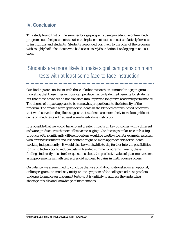# **IV. Conclusion**

This study found that online summer bridge programs using an adaptive online math program could help students to raise their placement test scores at a relatively low cost to institutions and students. Students responded positively to the offer of the program, with roughly half of students who had access to MyFoundationsLab logging in at least once.

# Students are more likely to make significant gains on math tests with at least some face-to-face instruction.

Our findings are consistent with those of other research on summer bridge programs, indicating that these interventions can produce narrowly defined benefits for students but that these advances do not translate into improved long-term academic performance. The degree of impact appears to be somewhat proportional to the intensity of the program. The greater score gains for students in the blended campus-based programs that we observed in the pilots suggest that students are more likely to make significant gains on math tests with at least some face-to-face instruction.

It is possible that we would have found greater impacts on key outcomes with a different software product or with more effective messaging. Conducting similar research using products with significantly different designs would be worthwhile. For example, a system with fewer assessments and less content might be more approachable for students working independently. It would also be worthwhile to dig further into the possibilities for using technology to reduce costs in blended summer programs. Finally, these findings indirectly raise further questions about the predictive value of placement exams, as improvements in math test scores did not lead to gains in math course success.

On balance, we are inclined to conclude that use of MyFoundationsLab in an optional, online program can modestly mitigate one symptom of the college readiness problem underperformance on placement tests—but is unlikely to address the underlying shortage of skills and knowledge of mathematics.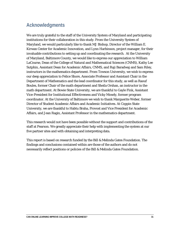# **Acknowledgments**

We are truly grateful to the staff of the University System of Maryland and participating institutions for their collaboration in this study. From the University System of Maryland, we would particularly like to thank MJ Bishop, Director of the William E. Kirwan Center for Academic Innovation, and Lynn Harbinson, project manager, for their invaluable contributions to setting up and coordinating the research. At the University of Maryland, Baltimore County, we would like to express our appreciation to William LaCourse, Dean of the College of Natural and Mathematical Sciences (CNMS), Kathy Lee Sutphin, Assistant Dean for Academic Affairs[, CNMS,](http://cnms.umbc.edu/) and Raji Baradwaj and Sam Riley, instructors in the mathematics department. From Towson University, we wish to express our deep appreciation to Felice Shore, Associate Professor and Assistant Chair in the Department of Mathematics and the lead coordinator for this study, as well as Raouf Boules, former Chair of the math department and Sheila Orshan, an instructor in the math department. At Bowie State University, we are thankful to Gayle Fink, Assistant Vice-President for Institutional Effectiveness and Vicky Mosely, former program coordinator. At the University of Baltimore we wish to thank Marguerite Weber, former Director of Student Academic Affairs and Academic Initiatives. At Coppin State University, we are thankful to Habtu Braha, Provost and Vice President for Academic Affairs, and Jean Ragin, Assistant Professor in the mathematics department.

This research would not have been possible without the support and contributions of the staff at Pearson. We greatly appreciate their help with implementing the system at our five partner sites and with obtaining and interpreting data.

This report is based on research funded by the Bill & Melinda Gates Foundation. The findings and conclusions contained within are those of the authors and do not necessarily reflect positions or policies of the Bill & Melinda Gates Foundation.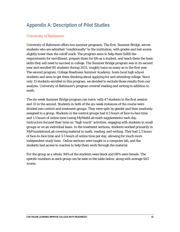# **Appendix A: Description of Pilot Studies**

#### *University of Baltimore*

University of Baltimore offers two summer programs. The first, Summer Bridge, serves students who are admitted "conditionally" to the institution, with grades and test scores slightly lower than the cutoff mark. The program aims to help them fulfill the requirements for enrollment, prepare them for life as a student, and teach them the basic skills they will need to succeed in college. The Summer Bridge program was in its second year and enrolled 80 students during 2013, roughly twice as many as in the first year. The second program, College Readiness Summer Academy, hosts local high school students and aims to get them thinking about applying for and attending college. Since only 13 students enrolled in this program, we decided to exclude those results from our analysis. University of Baltimore's program covered reading and writing in addition to math.

The six-week Summer Bridge program ran twice, with 47 students in the first session and 33 in the second. Students in both of the six-week instances of the course were divided into control and treatment groups. They were split by gender and then randomly assigned to a group. Students in the control groups had 4.5 hours of face-to-face time and 1.5 hours of online time (using MyMathLab math supplements) each day. Instructors focused their time on "high-touch" activities, engaging with students in small groups or on an individual basis. In the treatment sections, students worked primarily in MyFoundationsLab covering material in math, reading, and writing. They had 2.5 hours of face-to-face time and 3.5 hours of online time per day, allowing for much more independent study time. Online sections were taught in a computer lab, and the students had access to coaches to help them work through the material.

For the group as a whole, 94% of the students were black and 68% were female. The specific numbers in each group can be seen in the table below, along with average SAT scores.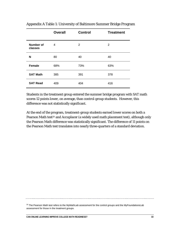|                      | <b>Overall</b> | <b>Control</b> | <b>Treatment</b> |
|----------------------|----------------|----------------|------------------|
| Number of<br>classes | 4              | $\overline{2}$ | $\overline{2}$   |
| N                    | 80             | 40             | 40               |
| <b>Female</b>        | 68%            | 73%            | 63%              |
| <b>SAT Math</b>      | 385            | 391            | 378              |
| <b>SAT Read</b>      | 409            | 404            | 416              |

Appendix A Table 1: University of Baltimore Summer Bridge Program

Students in the treatment group entered the summer bridge program with SAT math scores 12 points lower, on average, than control-group students. However, this difference was not statistically significant.

At the end of the [pro](#page-33-0)gram, treatment-group students earned lower scores on both a Pearson Math test<sup>28</sup> and Accuplacer (a widely used math placement test), although only the Pearson Math difference was statistically significant. The difference of 11 points on the Pearson Math test translates into nearly three-quarters of a standard deviation.

<sup>28</sup> The Pearson Math test refers to the MyMathLab assessment for the control groups and the MyFoundationsLab

<span id="page-33-0"></span>assessment for those in the treatment groups.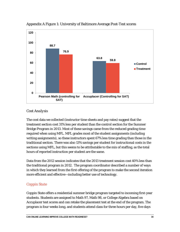

#### Appendix A Figure 1: University of Baltimore Average Post-Test scores

#### *Cost Analysis*

The cost data we collected (instructor time sheets and pay rates) suggest that the treatment section cost 31% less per student than the control section for the Summer Bridge Program in 2013. Most of these savings came from the reduced grading time required when using MFL. MFL grades most of the student assignments (including writing assignments), so these instructors spent 67% less time grading than those in the traditional section. There was also 13% savings per student for instructional costs in the sections using MFL, but this seems to be attributable to the mix of staffing, as the total hours of reported instruction per student are the same.

Data from the 2012 session indicates that the 2013 treatment session cost 40% less than the traditional program in 2012. The program coordinator described a number of ways in which they learned from the first offering of the program to make the second iteration more efficient and effective—including better use of technology.

#### *Coppin State*

Coppin State offers a residential summer bridge program targeted to incoming first-year students. Students are assigned to Math 97, Math 98, or College Algebra based on Accuplacer test scores and can retake the placement test at the end of the program. The program is four weeks long, and students attend class for three hours per day, five days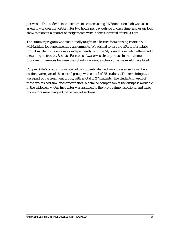per week. The students in the treatment sections using MyFoundationsLab were also asked to work on the platform for two hours per day outside of class time, and usage logs show that about a quarter of assignments were in fact submitted after 5:00 pm.

The summer program was traditionally taught in a lecture format using Pearson's MyMathLab for supplementary assignments. We wished to test the effects of a hybrid format in which students work independently with the MyFoundationsLab platform with a roaming instructor. Because Pearson software was already in use in the summer program, differences between the cohorts were not as clear cut as we would have liked.

Coppin State's program consisted of 82 students, divided among seven sections. Five sections were part of the control group, with a total of 55 students. The remaining two were part of the treatment group, with a total of 27 students. The students in each of these groups had similar characteristics. A detailed comparison of the groups is available in the table below. One instructor was assigned to the two treatment sections, and three instructors were assigned to the control sections.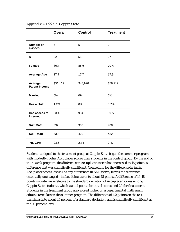|                                  | <b>Overall</b> | <b>Control</b> | <b>Treatment</b> |
|----------------------------------|----------------|----------------|------------------|
| <b>Number of</b><br>classes      | $\overline{7}$ | 5              | $\overline{2}$   |
| N                                | 82             | 55             | 27               |
| <b>Female</b>                    | 80%            | 85%            | 70%              |
| <b>Average Age</b>               | 17.7           | 17.7           | 17.9             |
| Average<br><b>Parent Income</b>  | \$51,119       | \$48,920       | \$56,212         |
| <b>Married</b>                   | 0%             | 0%             | 0%               |
| Has a child                      | 1.2%           | 0%             | 3.7%             |
| Has access to<br><b>Internet</b> | 93%            | 95%            | 89%              |
| <b>SAT Math</b>                  | 392            | 385            | 408              |
| <b>SAT Read</b>                  | 430            | 429            | 432              |
| <b>HS GPA</b>                    | 2.66           | 2.74           | 2.47             |

Appendix A Table 2: Coppin State

Students assigned to the treatment group at Coppin State began the summer program with modestly higher Accuplacer scores than students in the control group. By the end of the 4-week program, the difference in Accuplacer scores had increased to 16 points, a difference that was statistically significant. Controlling for the difference in initial Accuplacer scores, as well as any differences in SAT scores, leaves the difference essentially unchanged—in fact, it increases to about 18 points. A difference of 16-18 points is quite large relative to the standard deviation of Accuplacer scores among Coppin State students, which was 14 points for initial scores and 20 for final scores. Students in the treatment group also scored higher on a departmental math exam administered late in the summer program. The difference of 1.2 points on the test translates into about 45 percent of a standard deviation, and is statistically significant at the 10 percent level.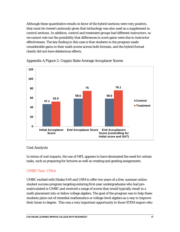Although these quantitative results in favor of the hybrid sections were very positive, they must be viewed cautiously given that technology was also used as a supplement in control sections. In addition, control and treatment groups had different instructors, so we cannot rule out the possibility that differences in score gains were due to instructor effectiveness. The key finding in this case is that students in the program made considerable gains in their math scores across both formats, and the hybrid format clearly did not have deleterious effects.



Appendix A Figure 2: Coppin State Average Accuplacer Scores

#### *Cost Analysis*

In terms of cost impacts, the use of MFL appears to have eliminated the need for certain tasks, such as preparing for lectures as well as creating and grading assignments.

#### *UMBC Year 1 Pilot*

UMBC worked with Ithaka S+R and USM to offer two years of a free, summer online student success program targeting entering first-year undergraduates who had prematriculated in UMBC and received a range of scores that would typically result in a math placement into or below college algebra. The goal of the program was to help these students place out of remedial mathematics or college-level algebra as a way to improve their times to degree. This was a very important opportunity to those STEM majors who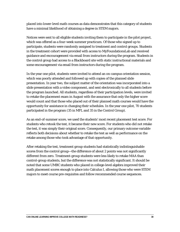placed into lower-level math courses as data demonstrates that this category of students have a minimal likelihood of obtaining a degree in STEM majors.

Notices were sent to all eligible students inviting them to participate in the pilot project, which was offered as a four-week summer practicum. Of those who signed up to participate, students were randomly assigned to treatment and control groups. Students in the treatment cohort were provided with access to MyFoundationsLab and received guidance and encouragement via email from instructors during the program. Students in the control group had access to a Blackboard site with static instructional materials and some encouragement via email from instructors during the program.

In the year one pilot, students were invited to attend an on-campus orientation session, which was poorly attended and followed up with copies of the planned slide presentation. In year two, the subject matter of the orientation was incorporated into a slide presentation with a video component, and sent electronically to all students before the program launched. All students, regardless of their participation levels, were invited to retake the placement exam in August with the assurance that only the higher score would count and that those who placed out of their planned math courses would have the opportunity for assistance in changing their schedules. In the year one pilot, 70 students participated in the program (35 in MFL and 35 in the Control Group).

As an end-of-summer score, we used the students' most recent placement test score. For students who retook the test, it became their new score. For students who did not retake the test, it was simply their original score. Consequently, our primary outcome variable reflects both decisions about whether to retake the test as well as performance on the retake among those who took advantage of that opportunity.

After retaking the test, treatment group students had statistically indistinguishable scores from the control group—the difference of about 2 points was not significantly different from zero. Treatment-group students were less likely to retake MAA than control-group students, but the difference was not statistically significant. It should be noted that some UMBC students who placed in college-level algebra improved their math placement scores enough to place into Calculus I, allowing those who were STEM majors to meet course pre-requisites and follow recommended course sequences.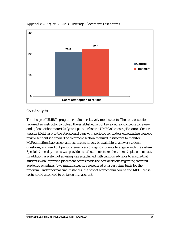

#### Appendix A Figure 3: UMBC Average Placement Test Scores

#### *Cost Analysis*

The design of UMBC's program results in relatively modest costs. The control section required an instructor to upload the established list of key algebraic concepts to review and upload either materials (year 1 pilot) or list the UMBC's Learning Resource Center website (field test) to the Blackboard page with periodic reminders encouraging concept review sent out via email. The treatment section required instructors to monitor MyFoundationsLab usage, address access issues, be available to answer students' questions, and send out periodic emails encouraging students to engage with the system. Special, three-day access was provided to all students to retake the math placement test. In addition, a system of advising was established with campus advisors to ensure that students with improved placement scores made the best decisions regarding their fall academic schedules. Two math instructors were hired on a part-time basis for the program. Under normal circumstances, the cost of a practicum course and MFL license costs would also need to be taken into account.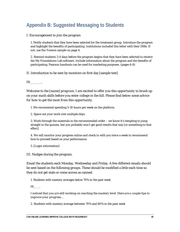# **Appendix B: Suggested Messaging to Students**

#### I. Encouragement to join the program

1. Notify students that they have been selected for the treatment group. Introduce the program and highlight the benefits of participating. Institutions included this letter with their IRBs. If not, use the Towson sample on page 4.

2. Remind students 3-4 days before the program begins that they have been selected to receive the My Foundations Lab software. Include information about the program and the benefits of participating. Pearson handouts can be used for marketing purposes. (pages 6-8)

II. Introduction to be sent by monitors on first day [sample text]

*Hi \_\_\_\_\_,*

*Welcome to the [name] program. I am excited to offer you this opportunity to brush up on your math skills before you enter college in the fall. Please find below some advice for how to get the most from this opportunity.*

1. We recommend spending 5-10 hours per week on the platform.

2. Space out your work over multiple days.

3. Work through the materials in the recommended order – we know it's tempting to jump straight to the quizzes, but you probably won't get good results that way [or something to that effect]

4. We will monitor your progress online and check in with you twice a week to recommend how to proceed based on your performance.

5. [Login information]

III. Nudges during the program.

Email the students each Monday, Wednesday and Friday. A few different emails should be sent based on the following groups. These should be modified a little each time so they do not get stale or come across as canned.

1. Students with mastery averages below 70% in the past week

*Hi\_\_\_,*

*I noticed that you are still working on reaching the mastery level. Here are a couple tips to improve your progress…*

2. Students with mastery average between 70% and 80% in the past week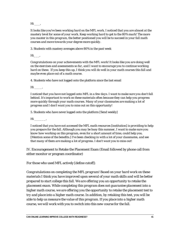*Hi \_\_\_,*

*It looks like you've been working hard on the MFL work. I noticed that you are almost at the mastery level for some of your work. Keep working hard to get to the 80% mark! The more you master in this program, the better positioned you will be to succeed in your fall math courses and move towards your degree more quickly.*

3. Students with mastery averages above 80% in the past week

*Hi\_\_\_,*

*Congratulations on your achievements with the MFL work! It looks like you are doing well on the exercises and assessments so far, and I want to encourage you to continue working hard on these. If you keep this up, I think you will do well in your math courses this fall and maybe even place out of a math course.* 

4. Students who have not logged onto the platform since the last email

*Hi \_\_\_\_,*

*I noticed that you have not logged onto MFL in a few days. I want to make sure you don't fall behind. It's important to work on these materials often because they can help you progress more quickly through your math courses. Many of your classmates are making a lot of progress and I don't want you to miss out on this opportunity!*

5. Students who have never logged onto the platform [Send weekly]

*Hi \_\_\_\_\_\_,*

*I noticed that you have not accessed the MFL math resources [institution] is providing to help you prepare for the fall. Although you may be busy this summer, I want to make sure you know how working on this program, even for a short amount of time, could help you. [Mention some of the benefits.] I've been checking in with a lot of your classmates, and see that many of them are making a lot of progress. I don't want you to miss out!* 

IV. Encouragement to Retake the Placement Exam (Email followed by phone call from either monitor or program coordinator)

For those who used MFL actively [define cutoff]:

*Congratulations on completing the MFL program! Based on your hard work on these materials I think you have improved upon several of your math skills and will be better prepared to start college this fall. We are offering you an opportunity to retake the placement exam. While completing this program does not guarantee placement into a higher math course, we are offering you the opportunity to retake the placement test to try and place into a higher math course. In addition, by retaking this test, you will be able to help us measure the value of this program. If you place into a higher math course, we will work with you to switch into this new course for the fall.*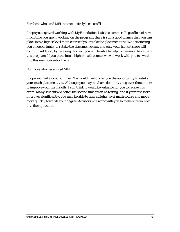For those who used MFL but not actively [set cutoff]

*I hope you enjoyed working with MyFoundationsLab this summer! Regardless of how much time you spent working on the program, there is still a good chance that you can place into a higher level math course if you retake the placement test. We are offering you an opportunity to retake the placement exam, and only your highest score will count. In addition, by retaking this test, you will be able to help us measure the value of this program. If you place into a higher math course, we will work with you to switch into this new course for the fall.*

For those who never used MFL:

*I hope you had a good summer! We would like to offer you the opportunity to retake your math placement test. Although you may not have done anything over the summer to improve your math skills, I still think it would be valuable for you to retake this exam. Many students do better the second time when re-testing, and if your test score improves significantly, you may be able to take a higher level math course and move more quickly towards your degree. Advisors will work with you to make sure you get into the right class.*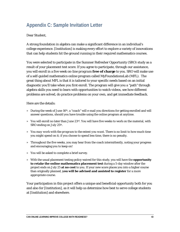# **Appendix C: Sample Invitation Letter**

#### Dear Student,

A strong foundation in algebra can make a significant difference in an individual's college experience. [Institution] is making every effort to explore a variety of innovations that can help students hit the ground running in their required mathematics courses.

You were selected to participate in the Summer Refresher Opportunity (SRO) study as a result of your placement test score. If you agree to participate, through our assistance, you will enroll in a five week *on-line program* **free of charge** to you. SRO will make use of a self-guided mathematics online program called MyFoundationsLab (MFL). The great thing about MFL is that it is tailored to your specific needs based on an initial diagnostic you'll take when you first enroll. The program will give you a "path" through algebra skills you need to learn with opportunities to watch videos, see how different problems are solved, do practice problems on your own, and get immediate feedback.

Here are the details:

- » During the week of June 16th, a "coach" will e-mail you directions for getting enrolled and will answer questions, should you have trouble using the online program at anytime.
- » You will enroll no later than June 23rd. You will have five weeks to work on the material, with SRO ending on July 25th.
- » *You may work with the program to the extent you want*. There is no limit to how much time you might spend on it; if you choose to spend less time, there is no penalty.
- » Throughout the five weeks, you may hear from the coach intermittently, noting your progress and encouraging you to keep on!
- » You will be asked to complete a brief survey.
- » With the usual placement testing policy waived for this study, you will have the **opportunity to retake the online mathematics placement test** during a 5-day window after the project ends on July 25 **at no cost** to you. If your new score places you into a higher course than originally planned, **you will be advised and assisted to register** for a more appropriate course.

Your participation in this project offers a unique and beneficial opportunity both for you and also for [Institution], as it will help us determine how best to serve college students at [Institution] and elsewhere.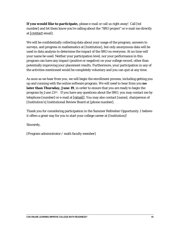**If you would like to participate,** please e-mail or call us right away! Call [tel number] and let them know you're calling about the "SRO project" or e-mail me directly at [\[contact](mailto:fshore@towson.edu) email].

We will be confidentially collecting data about your usage of the program, answers to surveys, and progress in mathematics at [Institution], but only anonymous data will be used in data analysis to determine the impact of the SRO on everyone. At no time will your name be used. Neither your participation level, nor your performance in this program can have any impact (positive or negative) on your college record, other than potentially improving your placement results. Furthermore, your participation in any of the activities mentioned would be completely voluntary and you can quit at any time.

As soon as we hear from you, we will begin the enrollment process, including getting you up and running with the online software program. We will need to hear from you **no later than Thursday, June 19**, in order to ensure that you are ready to begin the program by June  $23^{\text{rd}}$ . If you have any questions about the SRO, you may contact me by telephone [number] or e-mail at [\[e](mailto:fshore@towson.edu)mail]. You may also contact [name], chairperson of [Institution's] Institutional Review Board at [phone number].

Thank you for considering participation in the Summer Refresher Opportunity. I believe it offers a great way for you to start your college career at [Institution]!

Sincerely,

[Program administrator / math faculty member]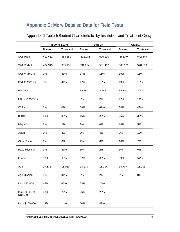# **Appendix D: More Detailed Data for Field Tests**

|                              |         | <b>Bowie State</b> | <b>Towson</b> |                  |         | <b>UMBC</b>      |
|------------------------------|---------|--------------------|---------------|------------------|---------|------------------|
|                              | Control | <b>Treatment</b>   | Control       | <b>Treatment</b> | Control | <b>Treatment</b> |
| <b>SAT Math</b>              | 419.661 | 384.151            | 512.281       | 506.100          | 563.404 | 542.449          |
| <b>SAT Verbal</b>            | 434.915 | 385.151            | 531.614       | 531.467          | 588.936 | 578.163          |
| <b>SAT V Missing</b>         | 9%      | 41%                | 17%           | 15%              | 19%     | 16%              |
| <b>SAT M Missing</b>         | 9%      | 41%                | 17%           | 15%              | 19%     | 16%              |
| HS GPA                       |         |                    | 3.478         | 3.446            | 3.620   | 3.670            |
| HS GPA Missing               |         |                    | 3%            | 2%               | 12%     | 14%              |
| White                        | 0%      | 0%                 | 68%           | 61%              | 34%     | 43%              |
| <b>Black</b>                 | 88%     | 89%                | 16%           | 20%              | 25%     | 38%              |
| Hispanic                     | 3%      | 2%                 | 7%            | 6%               | 14%     | 5%               |
| Asian                        | 0%      | 4%                 | 2%            | 4%               | 9%      | 12%              |
| Other Race                   | 8%      | 6%                 | 7%            | 8%               | 18%     | 2%               |
| Race Missing*                | 9%      | 41%                | 3%            | 2%               | 3%      | $0\%$            |
| Female                       | 53%     | 68%                | 67%           | 68%              | 59%     | 57%              |
| Age                          | 17.831  | 18.019             | 18.170        | 18.194           | 18.707  | 18.103           |
| Age Missing                  | 9%      | 41%                | 3%            | 2%               | $0\%$   | $0\%$            |
| Inc <\$50,000                | 45%     | 65%                | 24%           | 25%              |         |                  |
| Inc \$50,000 to<br>\$100,000 | 38%     | 22%                | 26%           | 25%              |         |                  |
| Inc > \$100,000              | 18%     | 14%                | 50%           | 49%              |         |                  |

#### Appendix D Table 1: Student Characteristics by Institution and Treatment Group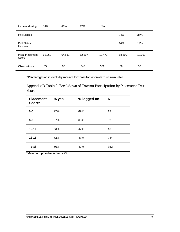| Income Missing                | 14%    | 43%    | 17%    | 14%    |        |        |
|-------------------------------|--------|--------|--------|--------|--------|--------|
| Pell Eligible                 |        |        |        |        | 34%    | 36%    |
| <b>Pell Status</b><br>Unknown |        |        |        |        | 14%    | 19%    |
| Initial Placement<br>Score    | 61.262 | 64.611 | 12.507 | 12.472 | 18.690 | 19.052 |
| Observations                  | 65     | 90     | 345    | 352    | 58     | 58     |

\*Percentages of students by race are for those for whom data was available.

Appendix D Table 2: Breakdown of Towson Participation by Placement Test Score

| <b>Placement</b><br>Score* | % yes | % logged on | N   |
|----------------------------|-------|-------------|-----|
| $0-5$                      | 77%   | 69%         | 13  |
| $6-9$                      | 67%   | 60%         | 52  |
| $10 - 11$                  | 53%   | 47%         | 43  |
| $12 - 16$                  | 53%   | 43%         | 244 |
| <b>Total</b>               | 56%   | 47%         | 352 |

\*Maximum possible score is 25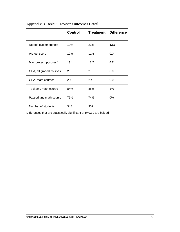|                         | <b>Control</b> | Treatment  | <b>Difference</b> |
|-------------------------|----------------|------------|-------------------|
| Retook placement test   | 10%            | <b>23%</b> | 13%               |
| Pretest score           | 12.5           | 12.5       | 0.0               |
| Max(pretest, post-test) | 13.1           | 13.7       | 0.7               |
| GPA, all graded courses | 2.8            | 2.8        | 0.0               |
| GPA, math courses       | 2.4            | 2.4        | 0.0               |
| Took any math course    | 84%            | 85%        | 1%                |
| Passed any math course  | 75%            | 74%        | 0%                |
| Number of students      | 345            | 352        |                   |

### Appendix D Table 3: Towson Outcomes Detail

Differences that are statistically significant at p<0.10 are bolded.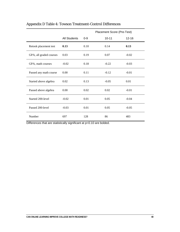|                         |                     |         | Placement Score (Pre-Test) |           |  |
|-------------------------|---------------------|---------|----------------------------|-----------|--|
|                         | <b>All Students</b> | $0 - 9$ | $10 - 11$                  | $12 - 16$ |  |
| Retook placement test   | 0.13                | 0.10    | 0.14                       | 0.13      |  |
| GPA, all graded courses | 0.03                | 0.19    | 0.07                       | $-0.02$   |  |
| GPA, math courses       | $-0.02$             | 0.18    | $-0.22$                    | $-0.03$   |  |
| Passed any math course  | 0.00                | 0.11    | $-0.12$                    | $-0.01$   |  |
| Started above algebra   | 0.02                | 0.13    | $-0.05$                    | 0.01      |  |
| Passed above algebra    | 0.00                | 0.02    | 0.02                       | $-0.01$   |  |
| Started 200-level       | $-0.02$             | 0.01    | 0.05                       | $-0.04$   |  |
| Passed 200-level        | $-0.03$             | 0.01    | 0.05                       | $-0.05$   |  |
| Number                  | 697                 | 128     | 86                         | 483       |  |

### Appendix D Table 4: Towson Treatment-Control Differences

Differences that are statistically significant at p<0.10 are bolded.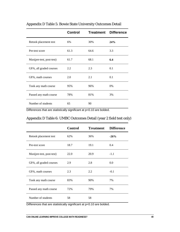|                          | <b>Control</b> |      | <b>Treatment Difference</b> |
|--------------------------|----------------|------|-----------------------------|
| Retook placement test    | 6%             | 30%  | 24%                         |
| Pre-test score           | 61.3           | 64.6 | 3.3                         |
| Max(pre-test, post-test) | 61.7           | 68.1 | 6.4                         |
| GPA, all graded courses  | 2.2            | 2.3  | 0.1                         |
| GPA, math courses        | 2.0            | 2.1  | 0.1                         |
| Took any math course     | 95%            | 96%  | $0\%$                       |
| Passed any math course   | 78%            | 81%  | 3%                          |
| Number of students       | 65             | 90   |                             |

#### Appendix D Table 5: Bowie State University Outcomes Detail

Differences that are statistically significant at p<0.10 are bolded.

|  |  |  |  | Appendix D Table 6: UMBC Outcomes Detail (year 2 field test only) |  |  |  |  |  |
|--|--|--|--|-------------------------------------------------------------------|--|--|--|--|--|
|--|--|--|--|-------------------------------------------------------------------|--|--|--|--|--|

|                          | <b>Control</b> | <b>Treatment</b> | <b>Difference</b> |
|--------------------------|----------------|------------------|-------------------|
| Retook placement test    | 62%            | 36%              | $-26%$            |
| Pre-test score           | 18.7           | 19.1             | 0.4               |
| Max(pre-test, post-test) | 22.0           | 20.9             | $-1.1$            |
| GPA, all graded courses  | 2.9            | 2.8              | 0.0               |
| GPA, math courses        | 2.3            | 2.2              | $-0.1$            |
| Took any math course     | 83%            | 90%              | 7%                |
| Passed any math course   | 72%            | 79%              | 7%                |
| Number of students       | 58             | 58               |                   |

Differences that are statistically significant at p<0.10 are bolded.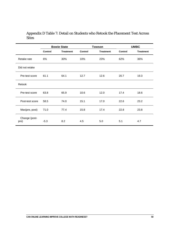#### Appendix D Table 7: Detail on Students who Retook the Placement Test Across **Sites**

|                       | <b>Bowie State</b> |                  |                | <b>Towson</b>    | <b>UMBC</b>    |                  |
|-----------------------|--------------------|------------------|----------------|------------------|----------------|------------------|
|                       | Control            | <b>Treatment</b> | <b>Control</b> | <b>Treatment</b> | <b>Control</b> | <b>Treatment</b> |
| Retake rate           | 6%                 | 30%              | 10%            | 23%              | 62%            | 36%              |
| Did not retake        |                    |                  |                |                  |                |                  |
| Pre-test score        | 61.1               | 64.1             | 12.7           | 12.6             | 20.7           | 19.3             |
| Retook                |                    |                  |                |                  |                |                  |
| Pre-test score        | 63.8               | 65.9             | 10.6           | 12.0             | 17.4           | 18.6             |
| Post-test score       | 58.5               | 74.0             | 15.1           | 17.0             | 22.6           | 23.2             |
| Max(pre, post)        | 71.0               | 77.4             | 15.8           | 17.4             | 22.8           | 23.8             |
| Change (post-<br>pre) | $-5.3$             | 8.2              | 4.5            | 5.0              | 5.1            | 4.7              |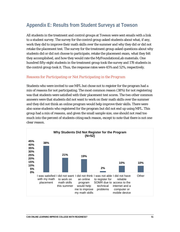# **Appendix E: Results from Student Surveys at Towson**

All students in the treatment and control groups at Towson were sent emails with a link to a student survey. The survey for the control group asked students about what, if any, work they did to improve their math skills over the summer and why they did or did not retake the placement test. The survey for the treatment group asked questions about why students did or did not choose to participate, retake the placement exam, what they felt they accomplished, and how they would rate the MyFoundationsLab materials. One hundred fifty-eight students in the treatment group took the survey and 178 students in the control group took it. Thus, the response rates were 45% and 52%, respectively.

#### *Reasons for Participating or Not Participating in the Program*

Students who were invited to use MFL but chose not to register for the program had a mix of reasons for not participating. The most common reason (38%) for not registering was that students were satisfied with their placement test scores. The two other common answers were that students did not want to work on their math skills over the summer and they did not think an online program would help improve their skills. There were also some students who registered for the program but did not end up using MFL. This group had a mix of reasons, and given the small sample size, one should not read too much into the percent of students citing each reason, except to note that there is not one clear reason.

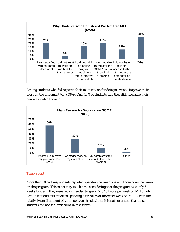

Among students who did register, their main reason for doing so was to improve their score on the placement test (58%). Only 10% of students said they did it because their parents wanted them to.



#### *Time Spent*

More than 50% of respondents reported spending between one and three hours per week on the program. This is not very much time considering that the program was only 6 weeks long and they were recommended to spend 5 to 10 hours per week on MFL. Only 23% of respondents reported spending four hours or more per week on MFL. Given the relatively small amount of time spent on the platform, it is not surprising that most students did not see large gains in test scores.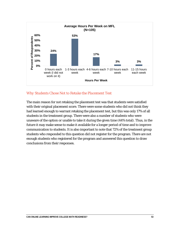

#### *Why Students Chose Not to Retake the Placement Test*

The main reason for not retaking the placement test was that students were satisfied with their original placement score. There were some students who did not think they had learned enough to warrant retaking the placement test, but this was only 17% of all students in the treatment group. There were also a number of students who were unaware of the option or unable to take it during the given time (44% total). Thus, in the future it may make sense to make it available for a longer period of time and to improve communication to students. It is also important to note that 72% of the treatment group students who responded to this question did not register for the program. There are not enough students who registered for the program and answered this question to draw conclusions from their responses.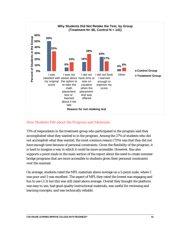

#### *How Students Felt about the Program and Materials*

73% of respondents in the treatment group who participated in the program said they accomplished what they wanted to in the program. Among the 27% of students who did not accomplish what they wanted, the most common reason (73%) was that they did not have enough time because of personal constraints. Given the flexibility of the program, it is hard to imagine a way in which it could be more accessible. However, this also supports a point made in the main section of the report about the need to create summer bridge programs that are more accessible to students given their personal constraints over the summer.

On average, students rated the MFL materials above average on a 5-point scale, where 1 was poor and 5 was excellent. The aspect of MFL they rated the lowest was engaging and fun to use (3.3) but this was still rated above average. Overall they thought the platform was easy to use, had good quality instructional materials, was useful for reviewing and learning concepts, and was technically reliable.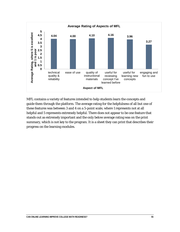

MFL contains a variety of features intended to help students learn the concepts and guide them through the platform. The average rating for the helpfulness of all but one of these features was between 3 and 4 on a 5-point scale, where 1 represents not at all helpful and 5 represents extremely helpful. There does not appear to be one feature that stands out as extremely important and the only below average rating was on the print summary, which is not key to the program. It is a sheet they can print that describes their progress on the learning modules.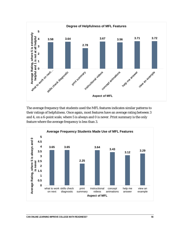

The average frequency that students used the MFL features indicates similar patterns to their ratings of helpfulness. Once again, most features have an average rating between 3 and 4, on a 6-point scale, where 5 is always and 0 is never. Print summary is the only feature where the average frequency is less than 3.